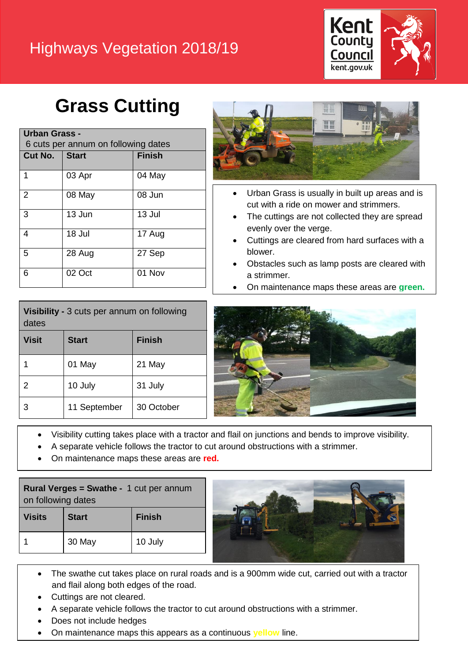#### Highways Vegetation 2018/19



# **Grass Cutting**

| <b>Urban Grass -</b><br>6 cuts per annum on following dates |              |               |  |
|-------------------------------------------------------------|--------------|---------------|--|
| Cut No.                                                     | <b>Start</b> | <b>Finish</b> |  |
| 1                                                           | 03 Apr       | 04 May        |  |
| $\overline{2}$                                              | 08 May       | 08 Jun        |  |
| 3                                                           | 13 Jun       | 13 Jul        |  |
| 4                                                           | 18 Jul       | 17 Aug        |  |
| 5                                                           | 28 Aug       | 27 Sep        |  |
| 6                                                           | 02 Oct       | 01 Nov        |  |



- Urban Grass is usually in built up areas and is cut with a ride on mower and strimmers.
- The cuttings are not collected they are spread evenly over the verge.
- Cuttings are cleared from hard surfaces with a blower.
- Obstacles such as lamp posts are cleared with a strimmer.
- On maintenance maps these areas are **green.**

| Visibility - 3 cuts per annum on following<br>dates |              |               |  |
|-----------------------------------------------------|--------------|---------------|--|
| <b>Visit</b>                                        | <b>Start</b> | <b>Finish</b> |  |
| 1                                                   | 01 May       | 21 May        |  |
| $\overline{2}$                                      | 10 July      | 31 July       |  |
| 3                                                   | 11 September | 30 October    |  |



- Visibility cutting takes place with a tractor and flail on junctions and bends to improve visibility.
- A separate vehicle follows the tractor to cut around obstructions with a strimmer.
- On maintenance maps these areas are **red.**

| <b>Rural Verges = Swathe - 1 cut per annum</b><br>on following dates |              |               |
|----------------------------------------------------------------------|--------------|---------------|
| <b>Visits</b>                                                        | <b>Start</b> | <b>Finish</b> |
|                                                                      | 30 May       | 10 July       |



- The swathe cut takes place on rural roads and is a 900mm wide cut, carried out with a tractor and flail along both edges of the road.
- Cuttings are not cleared.
- A separate vehicle follows the tractor to cut around obstructions with a strimmer.
- Does not include hedges
- On maintenance maps this appears as a continuous **yellow** line.